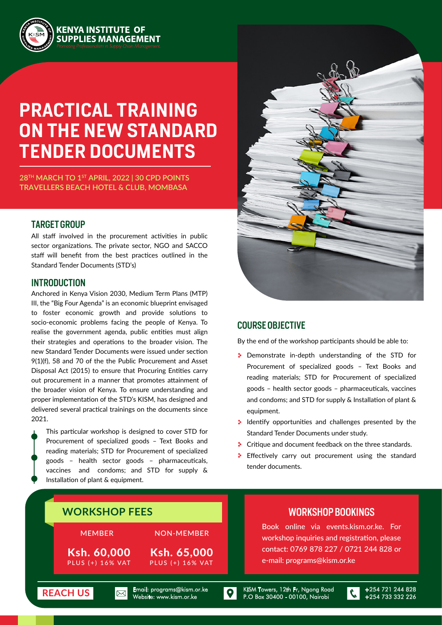

# **PRACTICAL TRAINING ON THE NEW STANDARD TENDER DOCUMENTS**

**28TH MARCH TO 1ST APRIL, 2022 | 30 CPD POINTS TRAVELLERS BEACH HOTEL & CLUB, MOMBASA**

#### TARGET GROUP

All staff involved in the procurement activities in public sector organizations. The private sector, NGO and SACCO staff will benefit from the best practices outlined in the Standard Tender Documents (STD's)

#### INTRODUCTION

Anchored in Kenya Vision 2030, Medium Term Plans (MTP) III, the "Big Four Agenda" is an economic blueprint envisaged to foster economic growth and provide solutions to socio-economic problems facing the people of Kenya. To realise the government agenda, public entities must align their strategies and operations to the broader vision. The new Standard Tender Documents were issued under section 9(1)(f), 58 and 70 of the the Public Procurement and Asset Disposal Act (2015) to ensure that Procuring Entities carry out procurement in a manner that promotes attainment of the broader vision of Kenya. To ensure understanding and proper implementation of the STD's KISM, has designed and delivered several practical trainings on the documents since 2021.

This particular workshop is designed to cover STD for Procurement of specialized goods – Text Books and reading materials; STD for Procurement of specialized goods – health sector goods – pharmaceuticals, vaccines and condoms; and STD for supply & Installation of plant & equipment.



#### COURSE OBJECTIVE

By the end of the workshop participants should be able to:

- **Demonstrate in-depth understanding of the STD for** Procurement of specialized goods – Text Books and reading materials; STD for Procurement of specialized goods – health sector goods – pharmaceuticals, vaccines and condoms; and STD for supply & Installation of plant & equipment.
- $\bullet$  Identify opportunities and challenges presented by the Standard Tender Documents under study.
- **Critique and document feedback on the three standards.**
- \* Effectively carry out procurement using the standard tender documents.



te: www.kism.or.ke